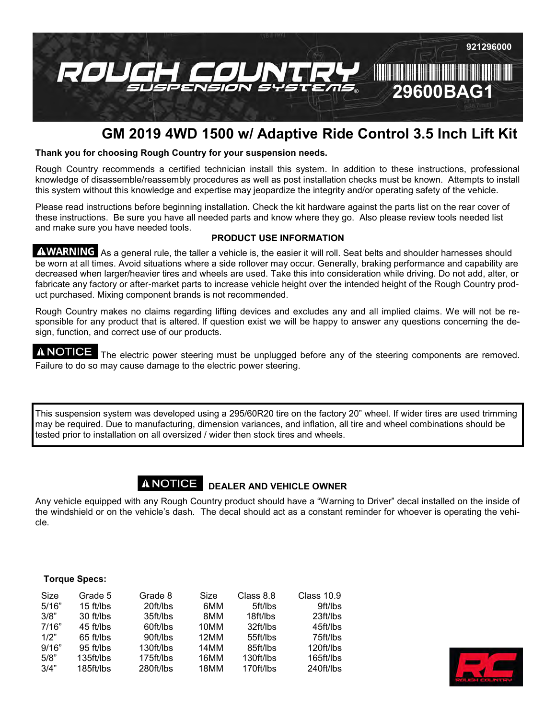

# **GM 2019 4WD 1500 w/ Adaptive Ride Control 3.5 Inch Lift Kit**

# **Thank you for choosing Rough Country for your suspension needs.**

Rough Country recommends a certified technician install this system. In addition to these instructions, professional knowledge of disassemble/reassembly procedures as well as post installation checks must be known. Attempts to install this system without this knowledge and expertise may jeopardize the integrity and/or operating safety of the vehicle.

Please read instructions before beginning installation. Check the kit hardware against the parts list on the rear cover of these instructions. Be sure you have all needed parts and know where they go. Also please review tools needed list and make sure you have needed tools.

# **PRODUCT USE INFORMATION**

AWARNING As a general rule, the taller a vehicle is, the easier it will roll. Seat belts and shoulder harnesses should be worn at all times. Avoid situations where a side rollover may occur. Generally, braking performance and capability are decreased when larger/heavier tires and wheels are used. Take this into consideration while driving. Do not add, alter, or fabricate any factory or after-market parts to increase vehicle height over the intended height of the Rough Country product purchased. Mixing component brands is not recommended.

Rough Country makes no claims regarding lifting devices and excludes any and all implied claims. We will not be responsible for any product that is altered. If question exist we will be happy to answer any questions concerning the design, function, and correct use of our products.

**A NOTICE** The electric power steering must be unplugged before any of the steering components are removed. Failure to do so may cause damage to the electric power steering.

This suspension system was developed using a 295/60R20 tire on the factory 20" wheel. If wider tires are used trimming may be required. Due to manufacturing, dimension variances, and inflation, all tire and wheel combinations should be tested prior to installation on all oversized / wider then stock tires and wheels.

# **A NOTICE** DEALER AND VEHICLE OWNER

Any vehicle equipped with any Rough Country product should have a "Warning to Driver" decal installed on the inside of the windshield or on the vehicle's dash. The decal should act as a constant reminder for whoever is operating the vehicle.

# **Torque Specs:**

| Size  | Grade 5     | Grade 8   | Size | Class 8.8 | Class 10.9 |
|-------|-------------|-----------|------|-----------|------------|
| 5/16" | $15$ ft/lbs | 20ft/lbs  | 6MM  | 5ft/lbs   | 9ft/lbs    |
| 3/8"  | 30 ft/lbs   | 35ft/lbs  | 8MM  | 18ft/lbs  | 23ft/lbs   |
| 7/16" | 45 ft/lbs   | 60ft/lbs  | 10MM | 32ft/lbs  | 45ft/lbs   |
| 1/2"  | $65$ ft/lbs | 90ft/lbs  | 12MM | 55ft/lbs  | 75ft/lbs   |
| 9/16" | $95$ ft/lbs | 130ft/lbs | 14MM | 85ft/lbs  | 120ft/lbs  |
| 5/8"  | 135ft/lbs   | 175ft/lbs | 16MM | 130ft/lbs | 165ft/lbs  |
| 3/4"  | 185ft/lbs   | 280ft/lbs | 18MM | 170ft/lbs | 240ft/lbs  |

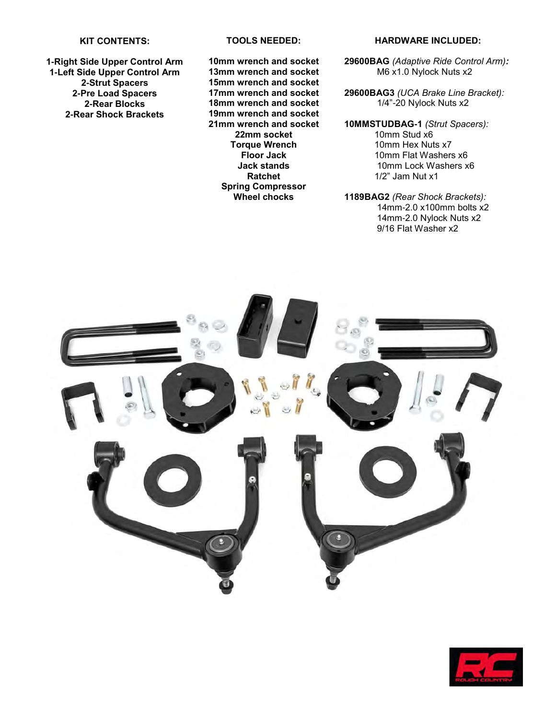#### **KIT CONTENTS:**

**-Right Side Upper Control Arm -Left Side Upper Control Arm -Strut Spacers -Pre Load Spacers -Rear Blocks -Rear Shock Brackets**

#### **TOOLS NEEDED:**

**10mm wrench and socket 13mm wrench and socket 15mm wrench and socket 17mm wrench and socket 18mm wrench and socket 19mm wrench and socket 21mm wrench and socket 22mm socket Torque Wrench Floor Jack Jack stands Ratchet Spring Compressor Wheel chocks**

#### **HARDWARE INCLUDED:**

**29600BAG** *(Adaptive Ride Control Arm):* M6 x1.0 Nylock Nuts x2

**29600BAG3** *(UCA Brake Line Bracket):* 1/4"-20 Nylock Nuts x2

- **10MMSTUDBAG-1** *(Strut Spacers):* 10mm Stud x6 10mm Hex Nuts x7 10mm Flat Washers x6 10mm Lock Washers x6 1/2" Jam Nut x1
- **1189BAG2** *(Rear Shock Brackets):* 14mm-2.0 x100mm bolts x2 14mm-2.0 Nylock Nuts x2 9/16 Flat Washer x2



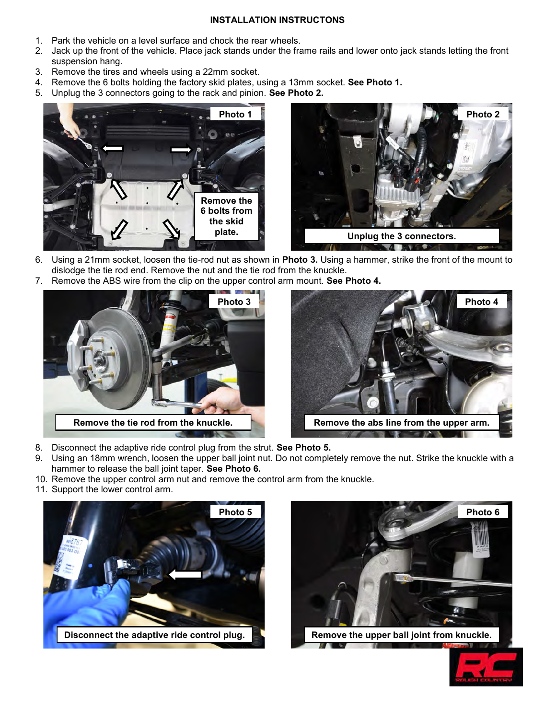# **INSTALLATION INSTRUCTONS**

- 1. Park the vehicle on a level surface and chock the rear wheels.
- 2. Jack up the front of the vehicle. Place jack stands under the frame rails and lower onto jack stands letting the front suspension hang.
- 3. Remove the tires and wheels using a 22mm socket.
- 4. Remove the 6 bolts holding the factory skid plates, using a 13mm socket. **See Photo 1.**
- 5. Unplug the 3 connectors going to the rack and pinion. **See Photo 2.**





- 6. Using a 21mm socket, loosen the tie-rod nut as shown in **Photo 3.** Using a hammer, strike the front of the mount to dislodge the tie rod end. Remove the nut and the tie rod from the knuckle.
- 7. Remove the ABS wire from the clip on the upper control arm mount. **See Photo 4.**





- 8. Disconnect the adaptive ride control plug from the strut. **See Photo 5.**
- 9. Using an 18mm wrench, loosen the upper ball joint nut. Do not completely remove the nut. Strike the knuckle with a hammer to release the ball joint taper. **See Photo 6.**
- 10. Remove the upper control arm nut and remove the control arm from the knuckle.
- 11. Support the lower control arm.





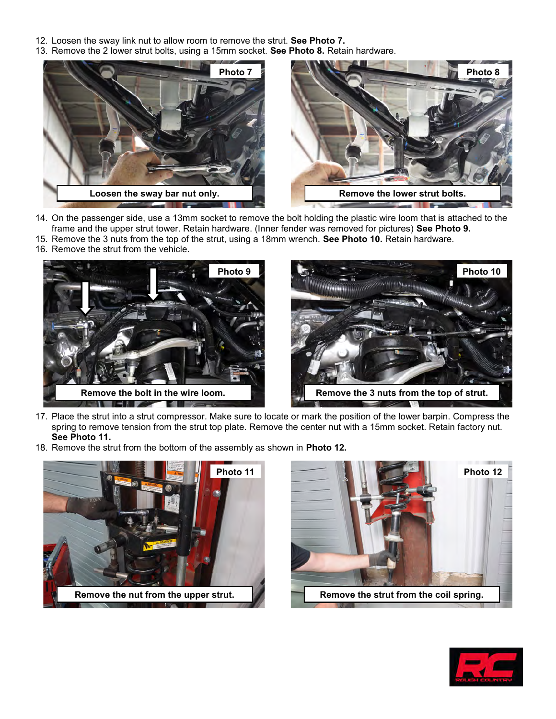- 12. Loosen the sway link nut to allow room to remove the strut. **See Photo 7.**
- 13. Remove the 2 lower strut bolts, using a 15mm socket. **See Photo 8.** Retain hardware.



- 14. On the passenger side, use a 13mm socket to remove the bolt holding the plastic wire loom that is attached to the frame and the upper strut tower. Retain hardware. (Inner fender was removed for pictures) **See Photo 9.**
- 15. Remove the 3 nuts from the top of the strut, using a 18mm wrench. **See Photo 10.** Retain hardware.
- 16. Remove the strut from the vehicle.





- 17. Place the strut into a strut compressor. Make sure to locate or mark the position of the lower barpin. Compress the spring to remove tension from the strut top plate. Remove the center nut with a 15mm socket. Retain factory nut. **See Photo 11.**
- 18. Remove the strut from the bottom of the assembly as shown in **Photo 12.**





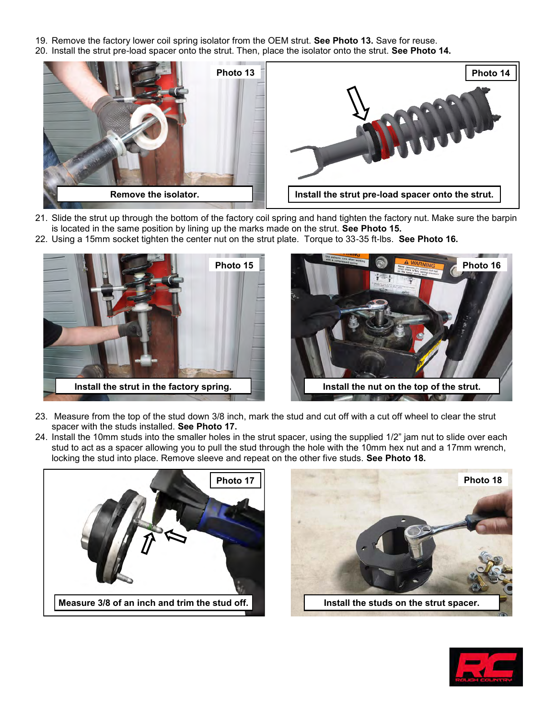- 19. Remove the factory lower coil spring isolator from the OEM strut. **See Photo 13.** Save for reuse.
- 20. Install the strut pre-load spacer onto the strut. Then, place the isolator onto the strut. **See Photo 14.**



- 21. Slide the strut up through the bottom of the factory coil spring and hand tighten the factory nut. Make sure the barpin is located in the same position by lining up the marks made on the strut. **See Photo 15.**
- 22. Using a 15mm socket tighten the center nut on the strut plate. Torque to 33-35 ft-lbs. **See Photo 16.**



- 23. Measure from the top of the stud down 3/8 inch, mark the stud and cut off with a cut off wheel to clear the strut spacer with the studs installed. **See Photo 17.**
- 24. Install the 10mm studs into the smaller holes in the strut spacer, using the supplied 1/2" jam nut to slide over each stud to act as a spacer allowing you to pull the stud through the hole with the 10mm hex nut and a 17mm wrench, locking the stud into place. Remove sleeve and repeat on the other five studs. **See Photo 18.**





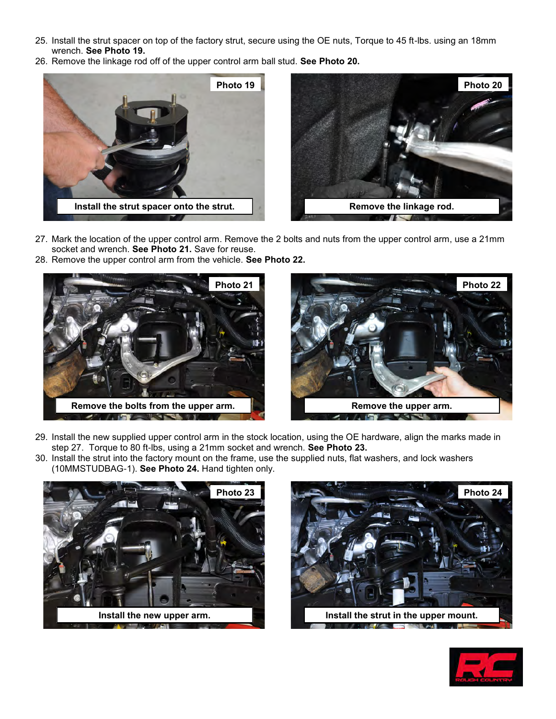- 25. Install the strut spacer on top of the factory strut, secure using the OE nuts, Torque to 45 ft-lbs. using an 18mm wrench. **See Photo 19.**
- 26. Remove the linkage rod off of the upper control arm ball stud. **See Photo 20.**



- 27. Mark the location of the upper control arm. Remove the 2 bolts and nuts from the upper control arm, use a 21mm socket and wrench. **See Photo 21.** Save for reuse.
- 28. Remove the upper control arm from the vehicle. **See Photo 22.**





- 29. Install the new supplied upper control arm in the stock location, using the OE hardware, align the marks made in step 27. Torque to 80 ft-lbs, using a 21mm socket and wrench. **See Photo 23.**
- 30. Install the strut into the factory mount on the frame, use the supplied nuts, flat washers, and lock washers (10MMSTUDBAG-1). **See Photo 24.** Hand tighten only.





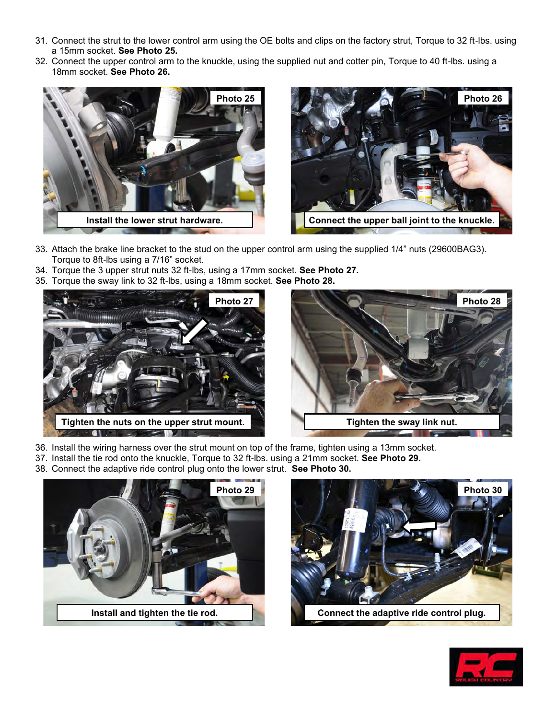- 31. Connect the strut to the lower control arm using the OE bolts and clips on the factory strut, Torque to 32 ft-lbs. using a 15mm socket. **See Photo 25.**
- 32. Connect the upper control arm to the knuckle, using the supplied nut and cotter pin, Torque to 40 ft-lbs. using a 18mm socket. **See Photo 26.**





- 33. Attach the brake line bracket to the stud on the upper control arm using the supplied 1/4" nuts (29600BAG3). Torque to 8ft-lbs using a 7/16" socket.
- 34. Torque the 3 upper strut nuts 32 ft-lbs, using a 17mm socket. **See Photo 27.**
- 35. Torque the sway link to 32 ft-lbs, using a 18mm socket. **See Photo 28.**





- 36. Install the wiring harness over the strut mount on top of the frame, tighten using a 13mm socket.
- 37. Install the tie rod onto the knuckle, Torque to 32 ft-lbs. using a 21mm socket. **See Photo 29.**
- 38. Connect the adaptive ride control plug onto the lower strut. **See Photo 30.**





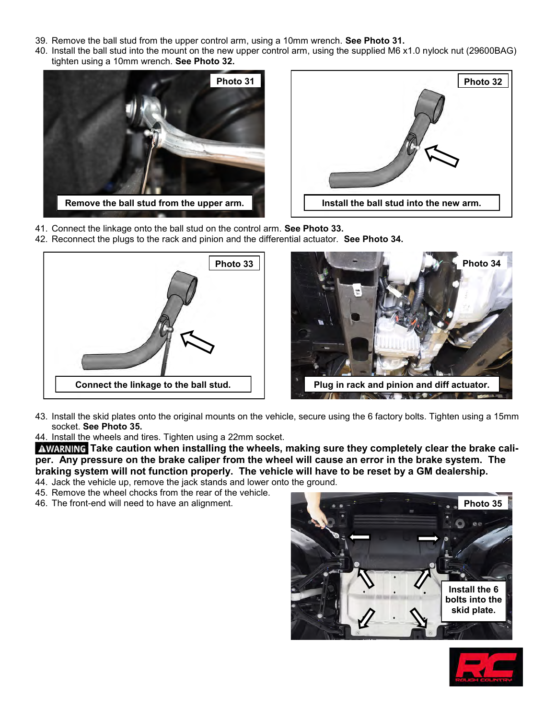- 39. Remove the ball stud from the upper control arm, using a 10mm wrench. **See Photo 31.**
- 40. Install the ball stud into the mount on the new upper control arm, using the supplied M6 x1.0 nylock nut (29600BAG) tighten using a 10mm wrench. **See Photo 32.**





- 41. Connect the linkage onto the ball stud on the control arm. **See Photo 33.**
- 42. Reconnect the plugs to the rack and pinion and the differential actuator. **See Photo 34.**





- 43. Install the skid plates onto the original mounts on the vehicle, secure using the 6 factory bolts. Tighten using a 15mm socket. **See Photo 35.**
- 44. Install the wheels and tires. Tighten using a 22mm socket.

**AWARNING** Take caution when installing the wheels, making sure they completely clear the brake cali**per. Any pressure on the brake caliper from the wheel will cause an error in the brake system. The braking system will not function properly. The vehicle will have to be reset by a GM dealership.** 44. Jack the vehicle up, remove the jack stands and lower onto the ground.

- 45. Remove the wheel chocks from the rear of the vehicle.
- 
- 46. The front-end will need to have an alignment.



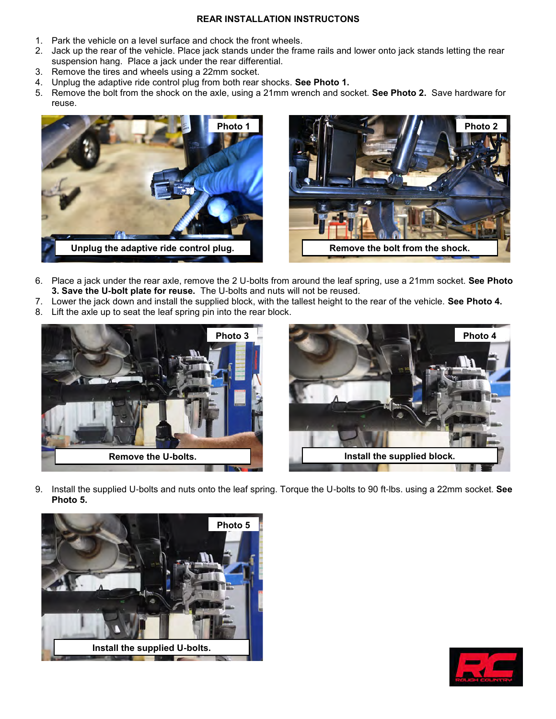## **REAR INSTALLATION INSTRUCTONS**

- 1. Park the vehicle on a level surface and chock the front wheels.
- 2. Jack up the rear of the vehicle. Place jack stands under the frame rails and lower onto jack stands letting the rear suspension hang. Place a jack under the rear differential.
- 3. Remove the tires and wheels using a 22mm socket.
- 4. Unplug the adaptive ride control plug from both rear shocks. **See Photo 1.**
- 5. Remove the bolt from the shock on the axle, using a 21mm wrench and socket. **See Photo 2.** Save hardware for reuse.





- 6. Place a jack under the rear axle, remove the 2 U-bolts from around the leaf spring, use a 21mm socket. **See Photo 3. Save the U-bolt plate for reuse.** The U-bolts and nuts will not be reused.
- 7. Lower the jack down and install the supplied block, with the tallest height to the rear of the vehicle. **See Photo 4.**
- 8. Lift the axle up to seat the leaf spring pin into the rear block.





9. Install the supplied U-bolts and nuts onto the leaf spring. Torque the U-bolts to 90 ft-lbs. using a 22mm socket. **See Photo 5.**